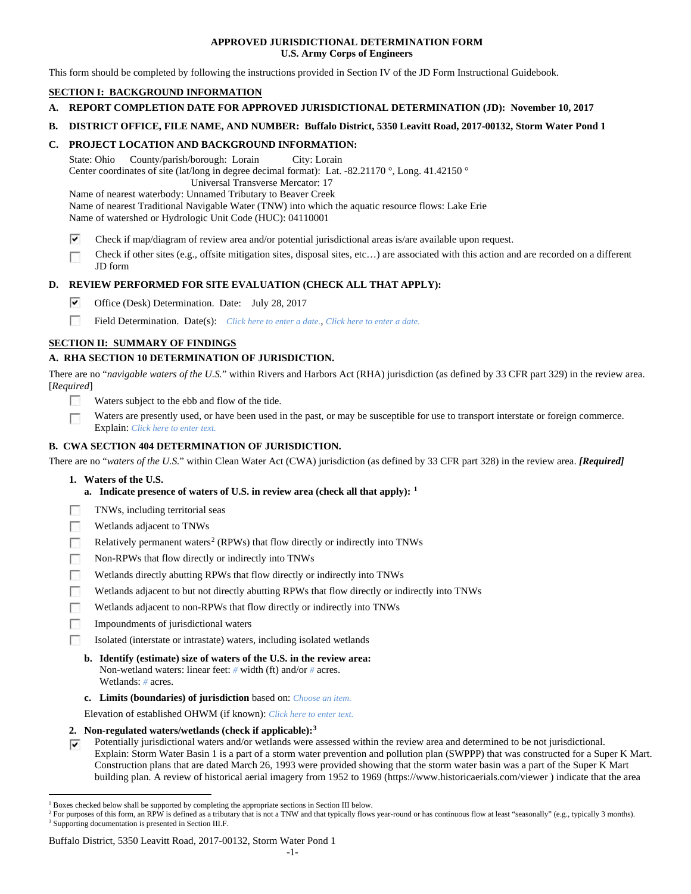### **APPROVED JURISDICTIONAL DETERMINATION FORM U.S. Army Corps of Engineers**

This form should be completed by following the instructions provided in Section IV of the JD Form Instructional Guidebook.

## **SECTION I: BACKGROUND INFORMATION**

- **A. REPORT COMPLETION DATE FOR APPROVED JURISDICTIONAL DETERMINATION (JD): November 10, 2017**
- **B. DISTRICT OFFICE, FILE NAME, AND NUMBER: Buffalo District, 5350 Leavitt Road, 2017-00132, Storm Water Pond 1**

### **C. PROJECT LOCATION AND BACKGROUND INFORMATION:**

State: Ohio County/parish/borough: Lorain City: Lorain Center coordinates of site (lat/long in degree decimal format): Lat. -82.21170 °, Long. 41.42150 ° Universal Transverse Mercator: 17 Name of nearest waterbody: Unnamed Tributary to Beaver Creek Name of nearest Traditional Navigable Water (TNW) into which the aquatic resource flows: Lake Erie

Name of watershed or Hydrologic Unit Code (HUC): 04110001

- $\overline{\mathbf{v}}$ Check if map/diagram of review area and/or potential jurisdictional areas is/are available upon request.
- Check if other sites (e.g., offsite mitigation sites, disposal sites, etc…) are associated with this action and are recorded on a different  $\sim$ JD form

## **D. REVIEW PERFORMED FOR SITE EVALUATION (CHECK ALL THAT APPLY):**

- ⊽ Office (Desk) Determination. Date: July 28, 2017
- $\sim$ Field Determination. Date(s): *Click here to enter a date.*, *Click here to enter a date.*

## **SECTION II: SUMMARY OF FINDINGS**

### **A. RHA SECTION 10 DETERMINATION OF JURISDICTION.**

There are no "*navigable waters of the U.S.*" within Rivers and Harbors Act (RHA) jurisdiction (as defined by 33 CFR part 329) in the review area. [*Required*]

- Waters subject to the ebb and flow of the tide.
- Waters are presently used, or have been used in the past, or may be susceptible for use to transport interstate or foreign commerce. F Explain: *Click here to enter text.*

### **B. CWA SECTION 404 DETERMINATION OF JURISDICTION.**

There are no "*waters of the U.S.*" within Clean Water Act (CWA) jurisdiction (as defined by 33 CFR part 328) in the review area. *[Required]*

- **1. Waters of the U.S.**
	- **a. Indicate presence of waters of U.S. in review area (check all that apply): [1](#page-0-0)**
- TNWs, including territorial seas **R**
- 50 Wetlands adjacent to TNWs
- Relatively permanent waters<sup>[2](#page-0-1)</sup> (RPWs) that flow directly or indirectly into TNWs **FRI**
- $\overline{a}$ Non-RPWs that flow directly or indirectly into TNWs
- 50 Wetlands directly abutting RPWs that flow directly or indirectly into TNWs
- Wetlands adjacent to but not directly abutting RPWs that flow directly or indirectly into TNWs
- Wetlands adjacent to non-RPWs that flow directly or indirectly into TNWs **R**
- **FRI** Impoundments of jurisdictional waters
- Isolated (interstate or intrastate) waters, including isolated wetlands
- **b. Identify (estimate) size of waters of the U.S. in the review area:** Non-wetland waters: linear feet: *#* width (ft) and/or *#* acres. Wetlands: *#* acres.
- **c. Limits (boundaries) of jurisdiction** based on: *Choose an item.*

Elevation of established OHWM (if known): *Click here to enter text.*

### **2. Non-regulated waters/wetlands (check if applicable):[3](#page-0-2)**

Potentially jurisdictional waters and/or wetlands were assessed within the review area and determined to be not jurisdictional.  $\overline{\mathbf{v}}$ Explain: Storm Water Basin 1 is a part of a storm water prevention and pollution plan (SWPPP) that was constructed for a Super K Mart. Construction plans that are dated March 26, 1993 were provided showing that the storm water basin was a part of the Super K Mart building plan. A review of historical aerial imagery from 1952 to 1969 (https://www.historicaerials.com/viewer ) indicate that the area

#### Buffalo District, 5350 Leavitt Road, 2017-00132, Storm Water Pond 1

<span id="page-0-1"></span><span id="page-0-0"></span> $1$  Boxes checked below shall be supported by completing the appropriate sections in Section III below.

<span id="page-0-2"></span><sup>&</sup>lt;sup>2</sup> For purposes of this form, an RPW is defined as a tributary that is not a TNW and that typically flows year-round or has continuous flow at least "seasonally" (e.g., typically 3 months). <sup>3</sup> Supporting documentation is presented in Section III.F.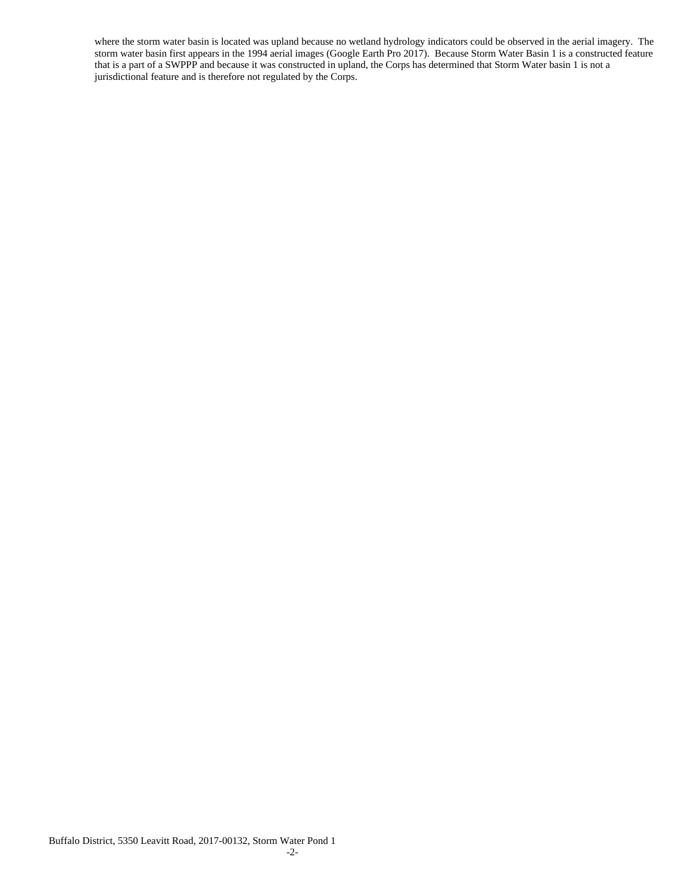where the storm water basin is located was upland because no wetland hydrology indicators could be observed in the aerial imagery. The storm water basin first appears in the 1994 aerial images (Google Earth Pro 2017). Because Storm Water Basin 1 is a constructed feature that is a part of a SWPPP and because it was constructed in upland, the Corps has determined that Storm Water basin 1 is not a jurisdictional feature and is therefore not regulated by the Corps.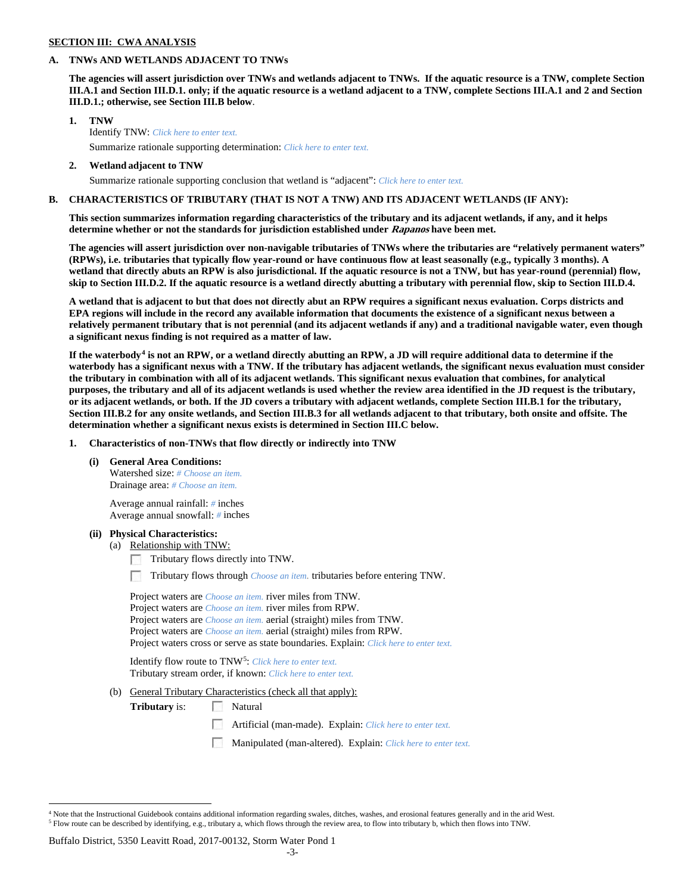### **SECTION III: CWA ANALYSIS**

### **A. TNWs AND WETLANDS ADJACENT TO TNWs**

**The agencies will assert jurisdiction over TNWs and wetlands adjacent to TNWs. If the aquatic resource is a TNW, complete Section III.A.1 and Section III.D.1. only; if the aquatic resource is a wetland adjacent to a TNW, complete Sections III.A.1 and 2 and Section III.D.1.; otherwise, see Section III.B below**.

- **1. TNW**  Identify TNW: *Click here to enter text.*
	- Summarize rationale supporting determination: *Click here to enter text.*
- **2. Wetland adjacent to TNW** Summarize rationale supporting conclusion that wetland is "adjacent": *Click here to enter text.*

### **B. CHARACTERISTICS OF TRIBUTARY (THAT IS NOT A TNW) AND ITS ADJACENT WETLANDS (IF ANY):**

**This section summarizes information regarding characteristics of the tributary and its adjacent wetlands, if any, and it helps determine whether or not the standards for jurisdiction established under Rapanos have been met.** 

**The agencies will assert jurisdiction over non-navigable tributaries of TNWs where the tributaries are "relatively permanent waters" (RPWs), i.e. tributaries that typically flow year-round or have continuous flow at least seasonally (e.g., typically 3 months). A wetland that directly abuts an RPW is also jurisdictional. If the aquatic resource is not a TNW, but has year-round (perennial) flow, skip to Section III.D.2. If the aquatic resource is a wetland directly abutting a tributary with perennial flow, skip to Section III.D.4.**

**A wetland that is adjacent to but that does not directly abut an RPW requires a significant nexus evaluation. Corps districts and EPA regions will include in the record any available information that documents the existence of a significant nexus between a relatively permanent tributary that is not perennial (and its adjacent wetlands if any) and a traditional navigable water, even though a significant nexus finding is not required as a matter of law.**

**If the waterbody[4](#page-2-0) is not an RPW, or a wetland directly abutting an RPW, a JD will require additional data to determine if the waterbody has a significant nexus with a TNW. If the tributary has adjacent wetlands, the significant nexus evaluation must consider the tributary in combination with all of its adjacent wetlands. This significant nexus evaluation that combines, for analytical purposes, the tributary and all of its adjacent wetlands is used whether the review area identified in the JD request is the tributary, or its adjacent wetlands, or both. If the JD covers a tributary with adjacent wetlands, complete Section III.B.1 for the tributary, Section III.B.2 for any onsite wetlands, and Section III.B.3 for all wetlands adjacent to that tributary, both onsite and offsite. The determination whether a significant nexus exists is determined in Section III.C below.**

**1. Characteristics of non-TNWs that flow directly or indirectly into TNW**

**(i) General Area Conditions:**

Watershed size: *# Choose an item.* Drainage area: *# Choose an item.*

Average annual rainfall: *#* inches Average annual snowfall: *#* inches

### **(ii) Physical Characteristics:**

- (a) Relationship with TNW:
	- Tributary flows directly into TNW.

Tributary flows through *Choose an item.* tributaries before entering TNW.

Project waters are *Choose an item.* river miles from TNW. Project waters are *Choose an item.* river miles from RPW. Project waters are *Choose an item.* aerial (straight) miles from TNW. Project waters are *Choose an item.* aerial (straight) miles from RPW. Project waters cross or serve as state boundaries. Explain: *Click here to enter text.*

Identify flow route to TNW[5:](#page-2-1) *Click here to enter text.* Tributary stream order, if known: *Click here to enter text.*

(b) General Tributary Characteristics (check all that apply):

**Tributary** is: Natural

- Artificial (man-made). Explain: *Click here to enter text.*
- Manipulated (man-altered). Explain: *Click here to enter text.*

### Buffalo District, 5350 Leavitt Road, 2017-00132, Storm Water Pond 1

<span id="page-2-1"></span><span id="page-2-0"></span> <sup>4</sup> Note that the Instructional Guidebook contains additional information regarding swales, ditches, washes, and erosional features generally and in the arid West. <sup>5</sup> Flow route can be described by identifying, e.g., tributary a, which flows through the review area, to flow into tributary b, which then flows into TNW.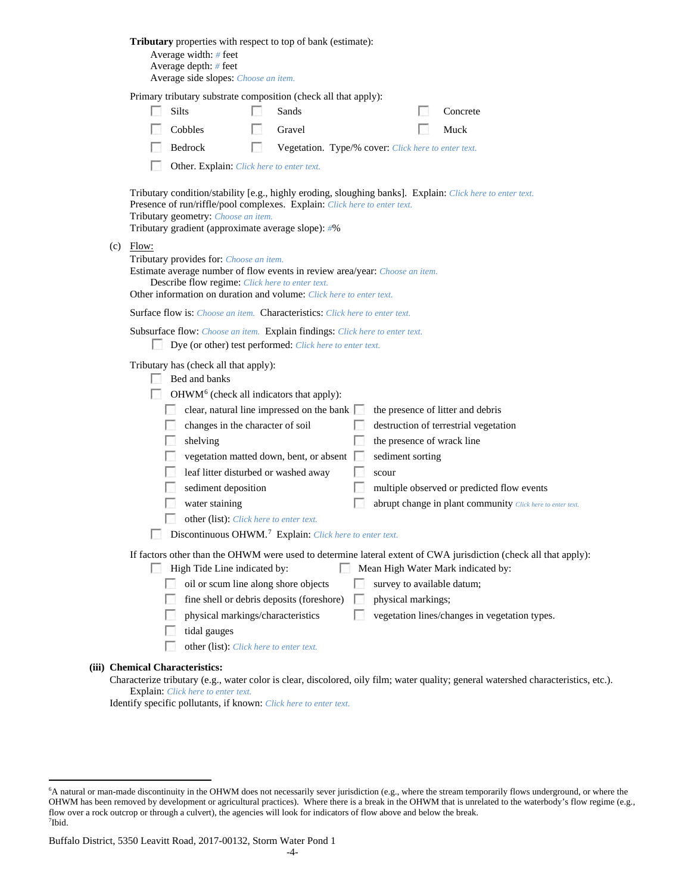|     | <b>Tributary</b> properties with respect to top of bank (estimate):<br>Average width: # feet<br>Average depth: # feet<br>Average side slopes: Choose an item.                                                                                                                       |  |  |  |  |
|-----|-------------------------------------------------------------------------------------------------------------------------------------------------------------------------------------------------------------------------------------------------------------------------------------|--|--|--|--|
|     | Primary tributary substrate composition (check all that apply):<br><b>Silts</b><br>Sands<br>Concrete                                                                                                                                                                                |  |  |  |  |
|     | Cobbles<br>Gravel<br>Muck                                                                                                                                                                                                                                                           |  |  |  |  |
|     | Bedrock<br><b>B</b><br>Vegetation. Type/% cover: Click here to enter text.                                                                                                                                                                                                          |  |  |  |  |
|     | Other. Explain: Click here to enter text.                                                                                                                                                                                                                                           |  |  |  |  |
|     | Tributary condition/stability [e.g., highly eroding, sloughing banks]. Explain: Click here to enter text.<br>Presence of run/riffle/pool complexes. Explain: Click here to enter text.<br>Tributary geometry: Choose an item.<br>Tributary gradient (approximate average slope): #% |  |  |  |  |
| (c) | Flow:<br>Tributary provides for: Choose an item.<br>Estimate average number of flow events in review area/year: Choose an item.<br>Describe flow regime: Click here to enter text.<br>Other information on duration and volume: Click here to enter text.                           |  |  |  |  |
|     | <b>Surface flow is:</b> <i>Choose an item.</i> <b>Characteristics:</b> <i>Click here to enter text.</i>                                                                                                                                                                             |  |  |  |  |
|     | Subsurface flow: Choose an item. Explain findings: Click here to enter text.                                                                                                                                                                                                        |  |  |  |  |
|     | Dye (or other) test performed: Click here to enter text.                                                                                                                                                                                                                            |  |  |  |  |
|     | Tributary has (check all that apply):<br>Bed and banks<br>OHWM <sup>6</sup> (check all indicators that apply):                                                                                                                                                                      |  |  |  |  |
|     | clear, natural line impressed on the bank<br>the presence of litter and debris<br>changes in the character of soil<br>destruction of terrestrial vegetation                                                                                                                         |  |  |  |  |
|     | shelving<br>the presence of wrack line                                                                                                                                                                                                                                              |  |  |  |  |
|     | vegetation matted down, bent, or absent<br>sediment sorting                                                                                                                                                                                                                         |  |  |  |  |
|     | leaf litter disturbed or washed away<br>scour                                                                                                                                                                                                                                       |  |  |  |  |
|     | sediment deposition<br>multiple observed or predicted flow events                                                                                                                                                                                                                   |  |  |  |  |
|     | water staining<br>abrupt change in plant community Click here to enter text.                                                                                                                                                                                                        |  |  |  |  |
|     | other (list): Click here to enter text.                                                                                                                                                                                                                                             |  |  |  |  |
|     | Discontinuous OHWM. <sup>7</sup> Explain: Click here to enter text.                                                                                                                                                                                                                 |  |  |  |  |
|     | If factors other than the OHWM were used to determine lateral extent of CWA jurisdiction (check all that apply):<br>High Tide Line indicated by:<br>Mean High Water Mark indicated by:                                                                                              |  |  |  |  |
|     | oil or scum line along shore objects<br>survey to available datum;                                                                                                                                                                                                                  |  |  |  |  |
|     | fine shell or debris deposits (foreshore)<br>physical markings;                                                                                                                                                                                                                     |  |  |  |  |
|     | vegetation lines/changes in vegetation types.<br>physical markings/characteristics                                                                                                                                                                                                  |  |  |  |  |
|     | tidal gauges                                                                                                                                                                                                                                                                        |  |  |  |  |
|     | other (list): Click here to enter text.                                                                                                                                                                                                                                             |  |  |  |  |
|     | (iii) Chemical Characteristics:                                                                                                                                                                                                                                                     |  |  |  |  |
|     | Characterize tributary (e.g., water color is clear, discolored, oily film; water quality; general watershed characteristics, etc.).                                                                                                                                                 |  |  |  |  |

### Explain: *Click here to enter text.*

Identify specific pollutants, if known: *Click here to enter text.*

<span id="page-3-1"></span><span id="page-3-0"></span> <sup>6</sup> <sup>6</sup>A natural or man-made discontinuity in the OHWM does not necessarily sever jurisdiction (e.g., where the stream temporarily flows underground, or where the OHWM has been removed by development or agricultural practices). Where there is a break in the OHWM that is unrelated to the waterbody's flow regime (e.g., flow over a rock outcrop or through a culvert), the agencies will look for indicators of flow above and below the break. 7 Ibid.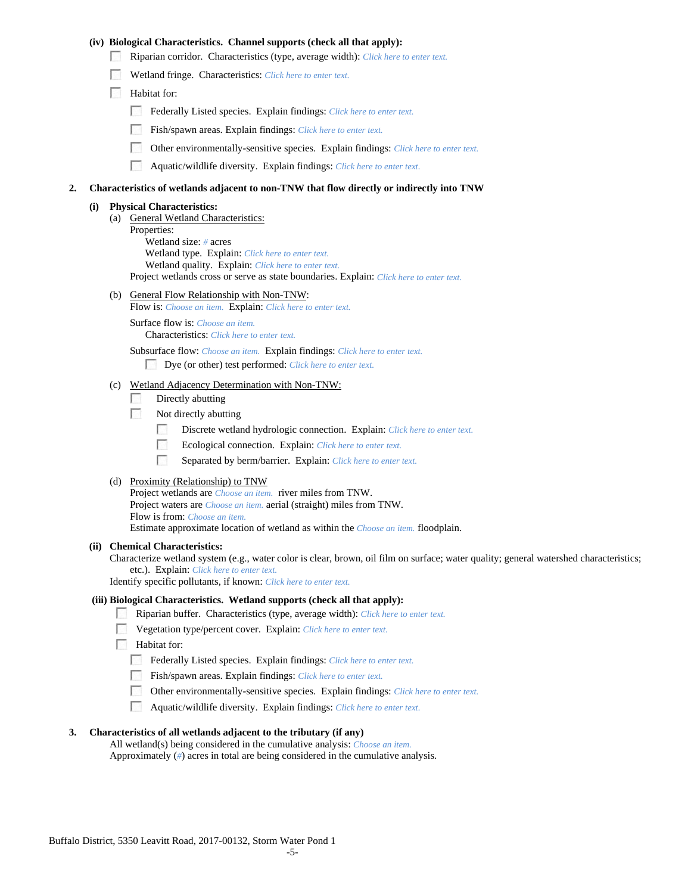### **(iv) Biological Characteristics. Channel supports (check all that apply):**

- Riparian corridor. Characteristics (type, average width): *Click here to enter text.*
- Wetland fringe. Characteristics: *Click here to enter text.*
- Habitat for:
	- Federally Listed species. Explain findings: *Click here to enter text.*
	- Fish/spawn areas. Explain findings: *Click here to enter text.*
	- $\mathcal{L}_{\rm{eff}}$ Other environmentally-sensitive species. Explain findings: *Click here to enter text.*
	- $\mathcal{L}_{\mathcal{A}}$ Aquatic/wildlife diversity. Explain findings: *Click here to enter text.*

### **2. Characteristics of wetlands adjacent to non-TNW that flow directly or indirectly into TNW**

#### **(i) Physical Characteristics:**

- (a) General Wetland Characteristics: Properties: Wetland size: *#* acres Wetland type. Explain: *Click here to enter text.* Wetland quality. Explain: *Click here to enter text.* Project wetlands cross or serve as state boundaries. Explain: *Click here to enter text.*
- (b) General Flow Relationship with Non-TNW:
	- Flow is: *Choose an item.* Explain: *Click here to enter text.*

Surface flow is: *Choose an item.* Characteristics: *Click here to enter text.*

Subsurface flow: *Choose an item.* Explain findings: *Click here to enter text.*

Dye (or other) test performed: *Click here to enter text.*

## (c) Wetland Adjacency Determination with Non-TNW:

- $\sim$ Directly abutting
- **1999** Not directly abutting
	- $\sim$ Discrete wetland hydrologic connection. Explain: *Click here to enter text.*
	- $\overline{a}$ Ecological connection. Explain: *Click here to enter text.*
	- $\sim$ Separated by berm/barrier. Explain: *Click here to enter text.*
- (d) Proximity (Relationship) to TNW

Project wetlands are *Choose an item.* river miles from TNW. Project waters are *Choose an item.* aerial (straight) miles from TNW. Flow is from: *Choose an item.* Estimate approximate location of wetland as within the *Choose an item.* floodplain.

#### **(ii) Chemical Characteristics:**

Characterize wetland system (e.g., water color is clear, brown, oil film on surface; water quality; general watershed characteristics; etc.). Explain: *Click here to enter text.*

Identify specific pollutants, if known: *Click here to enter text.*

#### **(iii) Biological Characteristics. Wetland supports (check all that apply):**

- Riparian buffer. Characteristics (type, average width): *Click here to enter text.*
- Vegetation type/percent cover. Explain: *Click here to enter text.*
- **Habitat for:** 
	- Federally Listed species. Explain findings: *Click here to enter text.*
	- Fish/spawn areas. Explain findings: *Click here to enter text*.
	- 55 Other environmentally-sensitive species. Explain findings: *Click here to enter text.*
	- Aquatic/wildlife diversity. Explain findings: *Click here to enter text.*

### **3. Characteristics of all wetlands adjacent to the tributary (if any)**

All wetland(s) being considered in the cumulative analysis: *Choose an item.* Approximately (*#*) acres in total are being considered in the cumulative analysis.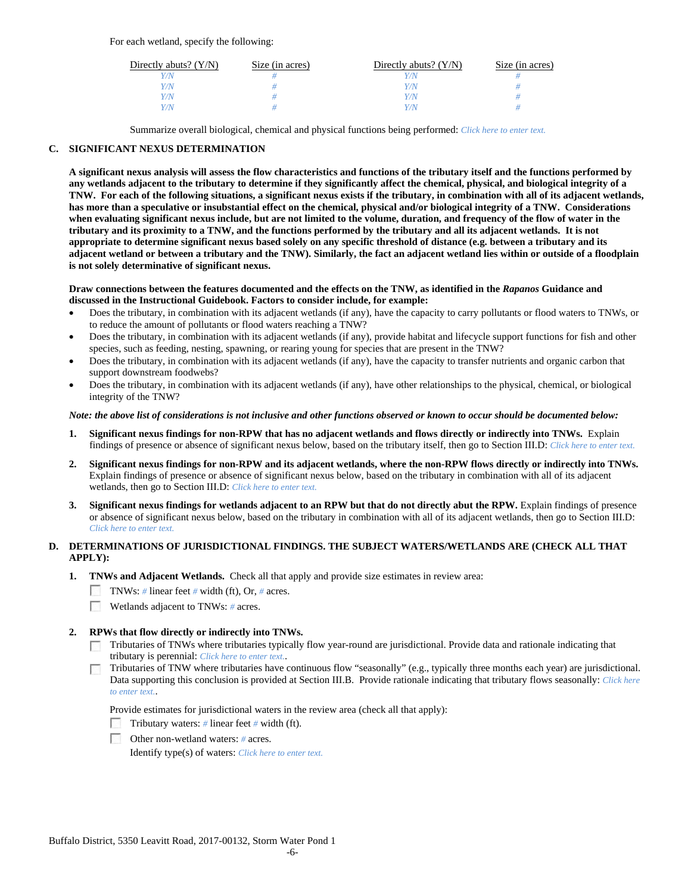For each wetland, specify the following:

| Directly abuts? $(Y/N)$ | Size (in acres) | Directly abuts? $(Y/N)$ | Size (in acres) |
|-------------------------|-----------------|-------------------------|-----------------|
|                         |                 |                         |                 |
| Y/N                     |                 | Y/N                     |                 |
| Y/N                     |                 | Y/N                     |                 |
| Y/N                     |                 | Y/N                     |                 |

Summarize overall biological, chemical and physical functions being performed: *Click here to enter text.*

### **C. SIGNIFICANT NEXUS DETERMINATION**

**A significant nexus analysis will assess the flow characteristics and functions of the tributary itself and the functions performed by any wetlands adjacent to the tributary to determine if they significantly affect the chemical, physical, and biological integrity of a TNW. For each of the following situations, a significant nexus exists if the tributary, in combination with all of its adjacent wetlands, has more than a speculative or insubstantial effect on the chemical, physical and/or biological integrity of a TNW. Considerations when evaluating significant nexus include, but are not limited to the volume, duration, and frequency of the flow of water in the tributary and its proximity to a TNW, and the functions performed by the tributary and all its adjacent wetlands. It is not appropriate to determine significant nexus based solely on any specific threshold of distance (e.g. between a tributary and its adjacent wetland or between a tributary and the TNW). Similarly, the fact an adjacent wetland lies within or outside of a floodplain is not solely determinative of significant nexus.** 

### **Draw connections between the features documented and the effects on the TNW, as identified in the** *Rapanos* **Guidance and discussed in the Instructional Guidebook. Factors to consider include, for example:**

- Does the tributary, in combination with its adjacent wetlands (if any), have the capacity to carry pollutants or flood waters to TNWs, or to reduce the amount of pollutants or flood waters reaching a TNW?
- Does the tributary, in combination with its adjacent wetlands (if any), provide habitat and lifecycle support functions for fish and other species, such as feeding, nesting, spawning, or rearing young for species that are present in the TNW?
- Does the tributary, in combination with its adjacent wetlands (if any), have the capacity to transfer nutrients and organic carbon that support downstream foodwebs?
- Does the tributary, in combination with its adjacent wetlands (if any), have other relationships to the physical, chemical, or biological integrity of the TNW?

### *Note: the above list of considerations is not inclusive and other functions observed or known to occur should be documented below:*

- **1. Significant nexus findings for non-RPW that has no adjacent wetlands and flows directly or indirectly into TNWs.** Explain findings of presence or absence of significant nexus below, based on the tributary itself, then go to Section III.D: *Click here to enter text.*
- **2. Significant nexus findings for non-RPW and its adjacent wetlands, where the non-RPW flows directly or indirectly into TNWs.**  Explain findings of presence or absence of significant nexus below, based on the tributary in combination with all of its adjacent wetlands, then go to Section III.D: *Click here to enter text.*
- **3. Significant nexus findings for wetlands adjacent to an RPW but that do not directly abut the RPW.** Explain findings of presence or absence of significant nexus below, based on the tributary in combination with all of its adjacent wetlands, then go to Section III.D: *Click here to enter text.*

## **D. DETERMINATIONS OF JURISDICTIONAL FINDINGS. THE SUBJECT WATERS/WETLANDS ARE (CHECK ALL THAT APPLY):**

- **1. TNWs and Adjacent Wetlands.** Check all that apply and provide size estimates in review area:
	- TNWs: *#* linear feet *#* width (ft), Or, *#* acres.
	- $\sim 10$ Wetlands adjacent to TNWs: *#* acres.

### **2. RPWs that flow directly or indirectly into TNWs.**

- Tributaries of TNWs where tributaries typically flow year-round are jurisdictional. Provide data and rationale indicating that tributary is perennial: *Click here to enter text.*.
- Tributaries of TNW where tributaries have continuous flow "seasonally" (e.g., typically three months each year) are jurisdictional. Data supporting this conclusion is provided at Section III.B. Provide rationale indicating that tributary flows seasonally: *Click here to enter text.*.

Provide estimates for jurisdictional waters in the review area (check all that apply):

- Tributary waters: *#* linear feet *#* width (ft).
- Other non-wetland waters: *#* acres.

Identify type(s) of waters: *Click here to enter text.*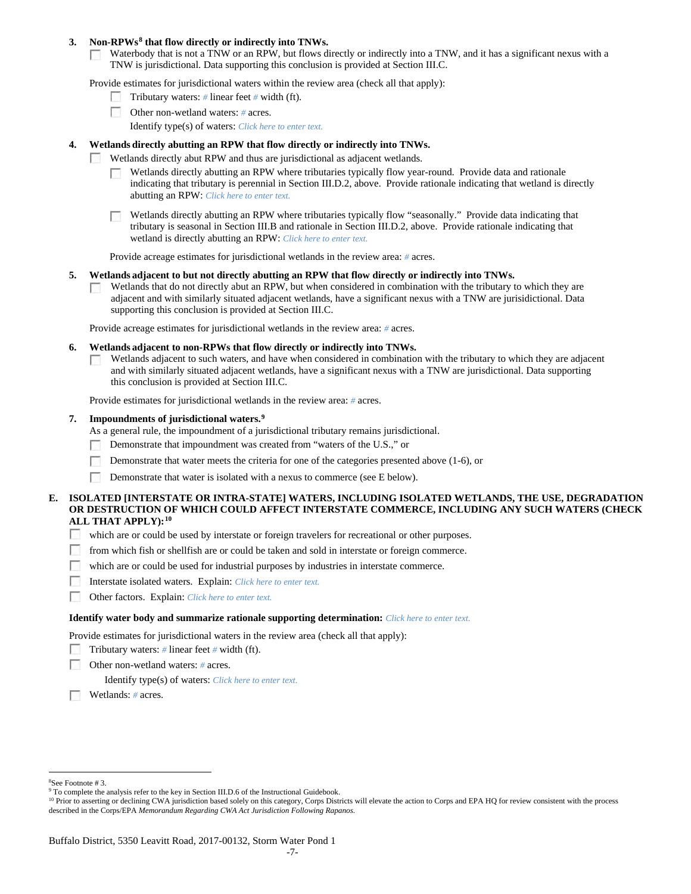### **3. Non-RPWs[8](#page-6-0) that flow directly or indirectly into TNWs.**

Waterbody that is not a TNW or an RPW, but flows directly or indirectly into a TNW, and it has a significant nexus with a **COM** TNW is jurisdictional. Data supporting this conclusion is provided at Section III.C.

Provide estimates for jurisdictional waters within the review area (check all that apply):

- Tributary waters: *#* linear feet *#* width (ft).
- Other non-wetland waters: *#* acres.
	- Identify type(s) of waters: *Click here to enter text.*

### **4. Wetlands directly abutting an RPW that flow directly or indirectly into TNWs.**

- **Barbara** Wetlands directly abut RPW and thus are jurisdictional as adjacent wetlands.
	- Wetlands directly abutting an RPW where tributaries typically flow year-round. Provide data and rationale indicating that tributary is perennial in Section III.D.2, above. Provide rationale indicating that wetland is directly abutting an RPW: *Click here to enter text.*

Wetlands directly abutting an RPW where tributaries typically flow "seasonally." Provide data indicating that tributary is seasonal in Section III.B and rationale in Section III.D.2, above. Provide rationale indicating that wetland is directly abutting an RPW: *Click here to enter text.*

Provide acreage estimates for jurisdictional wetlands in the review area: *#* acres.

### **5. Wetlands adjacent to but not directly abutting an RPW that flow directly or indirectly into TNWs.**

Wetlands that do not directly abut an RPW, but when considered in combination with the tributary to which they are  $\sim$ adjacent and with similarly situated adjacent wetlands, have a significant nexus with a TNW are jurisidictional. Data supporting this conclusion is provided at Section III.C.

Provide acreage estimates for jurisdictional wetlands in the review area: *#* acres.

- **6. Wetlands adjacent to non-RPWs that flow directly or indirectly into TNWs.** 
	- Wetlands adjacent to such waters, and have when considered in combination with the tributary to which they are adjacent  $\sim$ and with similarly situated adjacent wetlands, have a significant nexus with a TNW are jurisdictional. Data supporting this conclusion is provided at Section III.C.

Provide estimates for jurisdictional wetlands in the review area: *#* acres.

### **7. Impoundments of jurisdictional waters. [9](#page-6-1)**

As a general rule, the impoundment of a jurisdictional tributary remains jurisdictional.

- Demonstrate that impoundment was created from "waters of the U.S.," or
- Demonstrate that water meets the criteria for one of the categories presented above (1-6), or
- Demonstrate that water is isolated with a nexus to commerce (see E below). <u>г.</u>

### **E. ISOLATED [INTERSTATE OR INTRA-STATE] WATERS, INCLUDING ISOLATED WETLANDS, THE USE, DEGRADATION OR DESTRUCTION OF WHICH COULD AFFECT INTERSTATE COMMERCE, INCLUDING ANY SUCH WATERS (CHECK ALL THAT APPLY):[10](#page-6-2)**

- $\mathcal{L}_{\rm{eff}}$ which are or could be used by interstate or foreign travelers for recreational or other purposes.
- **1999** from which fish or shellfish are or could be taken and sold in interstate or foreign commerce.
- $\mathcal{L}_{\mathcal{A}}$ which are or could be used for industrial purposes by industries in interstate commerce.
- **1999** Interstate isolated waters.Explain: *Click here to enter text.*
- $\sim$ Other factors.Explain: *Click here to enter text.*

#### **Identify water body and summarize rationale supporting determination:** *Click here to enter text.*

Provide estimates for jurisdictional waters in the review area (check all that apply):

- Tributary waters: # linear feet # width (ft).
- Е Other non-wetland waters: *#* acres.

Identify type(s) of waters: *Click here to enter text.*

Wetlands: *#* acres.

 $\frac{1}{8}$ See Footnote # 3.

<span id="page-6-1"></span><span id="page-6-0"></span><sup>&</sup>lt;sup>9</sup> To complete the analysis refer to the key in Section III.D.6 of the Instructional Guidebook.

<span id="page-6-2"></span><sup>&</sup>lt;sup>10</sup> Prior to asserting or declining CWA jurisdiction based solely on this category, Corps Districts will elevate the action to Corps and EPA HQ for review consistent with the process described in the Corps/EPA *Memorandum Regarding CWA Act Jurisdiction Following Rapanos.*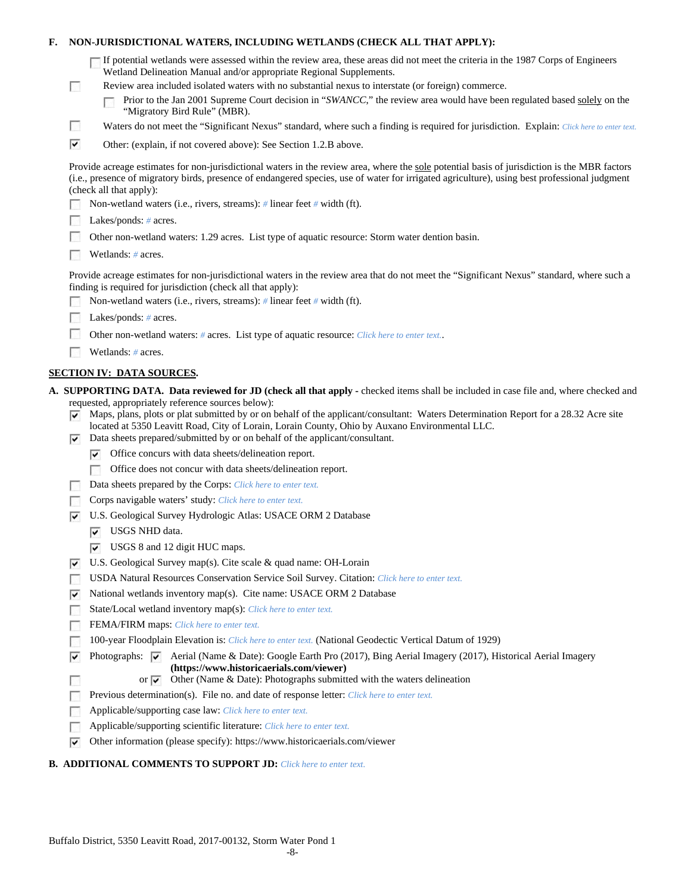| Е.                                                                                                                                                                                                         |                                                                                                                                                                                                                                                                                                                           | NON-JURISDICTIONAL WATERS, INCLUDING WETLANDS (CHECK ALL THAT APPLY):                                                                                                                                                                                          |  |  |
|------------------------------------------------------------------------------------------------------------------------------------------------------------------------------------------------------------|---------------------------------------------------------------------------------------------------------------------------------------------------------------------------------------------------------------------------------------------------------------------------------------------------------------------------|----------------------------------------------------------------------------------------------------------------------------------------------------------------------------------------------------------------------------------------------------------------|--|--|
|                                                                                                                                                                                                            |                                                                                                                                                                                                                                                                                                                           | If potential wetlands were assessed within the review area, these areas did not meet the criteria in the 1987 Corps of Engineers<br>Wetland Delineation Manual and/or appropriate Regional Supplements.                                                        |  |  |
|                                                                                                                                                                                                            | $\overline{\phantom{a}}$                                                                                                                                                                                                                                                                                                  | Review area included isolated waters with no substantial nexus to interstate (or foreign) commerce.<br>Prior to the Jan 2001 Supreme Court decision in "SWANCC," the review area would have been regulated based solely on the<br>"Migratory Bird Rule" (MBR). |  |  |
|                                                                                                                                                                                                            | $\sim$                                                                                                                                                                                                                                                                                                                    | Waters do not meet the "Significant Nexus" standard, where such a finding is required for jurisdiction. Explain: Click here to enter text.                                                                                                                     |  |  |
|                                                                                                                                                                                                            | ⊽                                                                                                                                                                                                                                                                                                                         | Other: (explain, if not covered above): See Section 1.2.B above.                                                                                                                                                                                               |  |  |
|                                                                                                                                                                                                            | Provide acreage estimates for non-jurisdictional waters in the review area, where the sole potential basis of jurisdiction is the MBR factors<br>(i.e., presence of migratory birds, presence of endangered species, use of water for irrigated agriculture), using best professional judgment<br>(check all that apply): |                                                                                                                                                                                                                                                                |  |  |
|                                                                                                                                                                                                            |                                                                                                                                                                                                                                                                                                                           | Non-wetland waters (i.e., rivers, streams): # linear feet # width (ft).                                                                                                                                                                                        |  |  |
|                                                                                                                                                                                                            |                                                                                                                                                                                                                                                                                                                           | Lakes/ponds: $# \, \text{acres.}$                                                                                                                                                                                                                              |  |  |
|                                                                                                                                                                                                            |                                                                                                                                                                                                                                                                                                                           | Other non-wetland waters: 1.29 acres. List type of aquatic resource: Storm water dention basin.                                                                                                                                                                |  |  |
|                                                                                                                                                                                                            |                                                                                                                                                                                                                                                                                                                           | Wetlands: # acres.                                                                                                                                                                                                                                             |  |  |
| Provide acreage estimates for non-jurisdictional waters in the review area that do not meet the "Significant Nexus" standard, where such a<br>finding is required for jurisdiction (check all that apply): |                                                                                                                                                                                                                                                                                                                           |                                                                                                                                                                                                                                                                |  |  |
|                                                                                                                                                                                                            |                                                                                                                                                                                                                                                                                                                           | Non-wetland waters (i.e., rivers, streams): $\#$ linear feet $\#$ width (ft).                                                                                                                                                                                  |  |  |
|                                                                                                                                                                                                            |                                                                                                                                                                                                                                                                                                                           | Lakes/ponds: $# \, \text{acres.}$                                                                                                                                                                                                                              |  |  |
|                                                                                                                                                                                                            |                                                                                                                                                                                                                                                                                                                           | Other non-wetland waters: # acres. List type of aquatic resource: Click here to enter text                                                                                                                                                                     |  |  |
|                                                                                                                                                                                                            |                                                                                                                                                                                                                                                                                                                           | Wetlands: # acres.                                                                                                                                                                                                                                             |  |  |
|                                                                                                                                                                                                            |                                                                                                                                                                                                                                                                                                                           | <b>SECTION IV: DATA SOURCES.</b>                                                                                                                                                                                                                               |  |  |
|                                                                                                                                                                                                            |                                                                                                                                                                                                                                                                                                                           | A. SUPPORTING DATA. Data reviewed for JD (check all that apply - checked items shall be included in case file and, where checked and                                                                                                                           |  |  |
|                                                                                                                                                                                                            |                                                                                                                                                                                                                                                                                                                           | requested, appropriately reference sources below):                                                                                                                                                                                                             |  |  |
|                                                                                                                                                                                                            | V                                                                                                                                                                                                                                                                                                                         | Maps, plans, plots or plat submitted by or on behalf of the applicant/consultant: Waters Determination Report for a 28.32 Acre site<br>located at 5350 Leavitt Road, City of Lorain, Lorain County, Ohio by Auxano Environmental LLC.                          |  |  |
|                                                                                                                                                                                                            | ⊽                                                                                                                                                                                                                                                                                                                         | Data sheets prepared/submitted by or on behalf of the applicant/consultant.                                                                                                                                                                                    |  |  |
|                                                                                                                                                                                                            |                                                                                                                                                                                                                                                                                                                           | Office concurs with data sheets/delineation report.<br>V                                                                                                                                                                                                       |  |  |
|                                                                                                                                                                                                            |                                                                                                                                                                                                                                                                                                                           | Office does not concur with data sheets/delineation report.<br><b>Fish</b>                                                                                                                                                                                     |  |  |
|                                                                                                                                                                                                            |                                                                                                                                                                                                                                                                                                                           | Data sheets prepared by the Corps: Click here to enter text.                                                                                                                                                                                                   |  |  |
|                                                                                                                                                                                                            |                                                                                                                                                                                                                                                                                                                           | Corps navigable waters' study: Click here to enter text.                                                                                                                                                                                                       |  |  |
|                                                                                                                                                                                                            | ▽                                                                                                                                                                                                                                                                                                                         | U.S. Geological Survey Hydrologic Atlas: USACE ORM 2 Database                                                                                                                                                                                                  |  |  |
|                                                                                                                                                                                                            |                                                                                                                                                                                                                                                                                                                           | USGS NHD data.<br>▽                                                                                                                                                                                                                                            |  |  |
|                                                                                                                                                                                                            |                                                                                                                                                                                                                                                                                                                           | USGS 8 and 12 digit HUC maps.<br>V                                                                                                                                                                                                                             |  |  |
|                                                                                                                                                                                                            | ∣V                                                                                                                                                                                                                                                                                                                        | U.S. Geological Survey map(s). Cite scale & quad name: OH-Lorain                                                                                                                                                                                               |  |  |
|                                                                                                                                                                                                            |                                                                                                                                                                                                                                                                                                                           | USDA Natural Resources Conservation Service Soil Survey. Citation: Click here to enter text.                                                                                                                                                                   |  |  |
|                                                                                                                                                                                                            | ∣V                                                                                                                                                                                                                                                                                                                        | National wetlands inventory map(s). Cite name: USACE ORM 2 Database                                                                                                                                                                                            |  |  |
|                                                                                                                                                                                                            |                                                                                                                                                                                                                                                                                                                           | State/Local wetland inventory map(s): Click here to enter text.                                                                                                                                                                                                |  |  |
|                                                                                                                                                                                                            |                                                                                                                                                                                                                                                                                                                           | FEMA/FIRM maps: Click here to enter text.                                                                                                                                                                                                                      |  |  |
|                                                                                                                                                                                                            |                                                                                                                                                                                                                                                                                                                           | 100-year Floodplain Elevation is: Click here to enter text. (National Geodectic Vertical Datum of 1929)                                                                                                                                                        |  |  |
|                                                                                                                                                                                                            | է                                                                                                                                                                                                                                                                                                                         | Photographs: $\overline{v}$ Aerial (Name & Date): Google Earth Pro (2017), Bing Aerial Imagery (2017), Historical Aerial Imagery<br>(https://www.historicaerials.com/viewer)<br>Other (Name & Date): Photographs submitted with the waters delineation         |  |  |
|                                                                                                                                                                                                            | <b>B</b>                                                                                                                                                                                                                                                                                                                  | or $\triangledown$<br>Previous determination(s). File no. and date of response letter: Click here to enter text.                                                                                                                                               |  |  |
|                                                                                                                                                                                                            |                                                                                                                                                                                                                                                                                                                           | Applicable/supporting case law: Click here to enter text.                                                                                                                                                                                                      |  |  |
|                                                                                                                                                                                                            |                                                                                                                                                                                                                                                                                                                           | Applicable/supporting scientific literature: Click here to enter text.                                                                                                                                                                                         |  |  |
|                                                                                                                                                                                                            | ▽                                                                                                                                                                                                                                                                                                                         | Other information (please specify): https://www.historicaerials.com/viewer                                                                                                                                                                                     |  |  |
|                                                                                                                                                                                                            |                                                                                                                                                                                                                                                                                                                           |                                                                                                                                                                                                                                                                |  |  |

# **B. ADDITIONAL COMMENTS TO SUPPORT JD:** *Click here to enter text.*